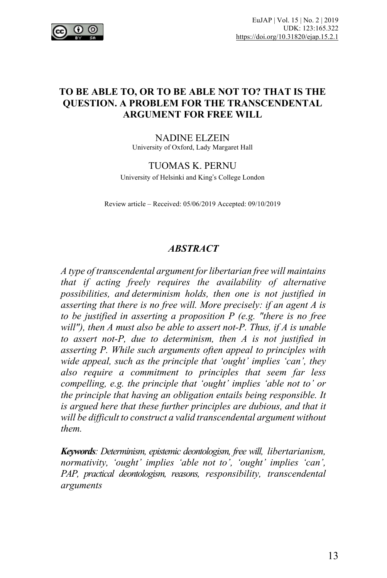

### **TO BE ABLE TO, OR TO BE ABLE NOT TO? THAT IS THE QUESTION. A PROBLEM FOR THE TRANSCENDENTAL ARGUMENT FOR FREE WILL**

NADINE ELZEIN University of Oxford, Lady Margaret Hall

#### TUOMAS K. PERNU

University of Helsinki and King's College London

Review article – Received: 05/06/2019 Accepted: 09/10/2019

#### *ABSTRACT*

*A type of transcendental argument forlibertarian free will maintains that if acting freely requires the availability of alternative possibilities, and determinism holds, then one is not justified in asserting that there is no free will. More precisely: if an agent A is to be justified in asserting a proposition P (e.g. "there is no free will"), then A must also be able to assert not-P. Thus, if A is unable to assert not-P, due to determinism, then A is not justified in asserting P. While such arguments often appeal to principles with wide appeal, such as the principle that 'ought' implies 'can', they also require a commitment to principles that seem far less compelling, e.g. the principle that 'ought' implies 'able not to' or the principle that having an obligation entails being responsible. It is argued here that these further principles are dubious, and that it will be difficult to construct a valid transcendental argument without them.*

*Keywords: Determinism, epistemic deontologism, free will, libertarianism, normativity, 'ought' implies 'able not to', 'ought' implies 'can', PAP, practical deontologism, reasons, responsibility, transcendental arguments*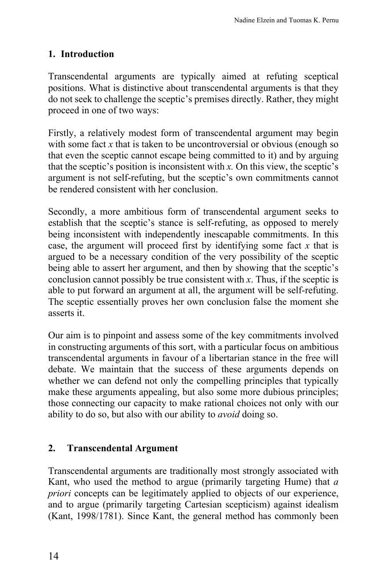# **1. Introduction**

Transcendental arguments are typically aimed at refuting sceptical positions. What is distinctive about transcendental arguments is that they do not seek to challenge the sceptic's premises directly. Rather, they might proceed in one of two ways:

Firstly, a relatively modest form of transcendental argument may begin with some fact *x* that is taken to be uncontroversial or obvious (enough so that even the sceptic cannot escape being committed to it) and by arguing that the sceptic's position is inconsistent with *x.* On this view, the sceptic's argument is not self-refuting, but the sceptic's own commitments cannot be rendered consistent with her conclusion.

Secondly, a more ambitious form of transcendental argument seeks to establish that the sceptic's stance is self-refuting, as opposed to merely being inconsistent with independently inescapable commitments. In this case, the argument will proceed first by identifying some fact *x* that is argued to be a necessary condition of the very possibility of the sceptic being able to assert her argument, and then by showing that the sceptic's conclusion cannot possibly be true consistent with *x*. Thus, if the sceptic is able to put forward an argument at all, the argument will be self-refuting. The sceptic essentially proves her own conclusion false the moment she asserts it.

Our aim is to pinpoint and assess some of the key commitments involved in constructing arguments of this sort, with a particular focus on ambitious transcendental arguments in favour of a libertarian stance in the free will debate. We maintain that the success of these arguments depends on whether we can defend not only the compelling principles that typically make these arguments appealing, but also some more dubious principles; those connecting our capacity to make rational choices not only with our ability to do so, but also with our ability to *avoid* doing so.

## **2. Transcendental Argument**

Transcendental arguments are traditionally most strongly associated with Kant, who used the method to argue (primarily targeting Hume) that *a priori* concepts can be legitimately applied to objects of our experience, and to argue (primarily targeting Cartesian scepticism) against idealism (Kant, 1998/1781). Since Kant, the general method has commonly been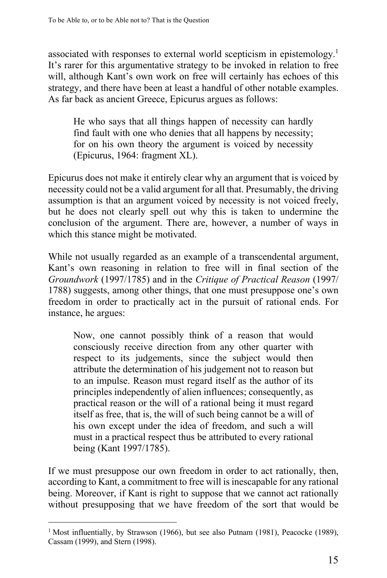associated with responses to external world scepticism in epistemology.1 It's rarer for this argumentative strategy to be invoked in relation to free will, although Kant's own work on free will certainly has echoes of this strategy, and there have been at least a handful of other notable examples. As far back as ancient Greece, Epicurus argues as follows:

He who says that all things happen of necessity can hardly find fault with one who denies that all happens by necessity; for on his own theory the argument is voiced by necessity (Epicurus, 1964: fragment XL).

Epicurus does not make it entirely clear why an argument that is voiced by necessity could not be a valid argument for all that. Presumably, the driving assumption is that an argument voiced by necessity is not voiced freely, but he does not clearly spell out why this is taken to undermine the conclusion of the argument. There are, however, a number of ways in which this stance might be motivated.

While not usually regarded as an example of a transcendental argument, Kant's own reasoning in relation to free will in final section of the *Groundwork* (1997/1785) and in the *Critique of Practical Reason* (1997/ 1788) suggests, among other things, that one must presuppose one's own freedom in order to practically act in the pursuit of rational ends. For instance, he argues:

Now, one cannot possibly think of a reason that would consciously receive direction from any other quarter with respect to its judgements, since the subject would then attribute the determination of his judgement not to reason but to an impulse. Reason must regard itself as the author of its principles independently of alien influences; consequently, as practical reason or the will of a rational being it must regard itself as free, that is, the will of such being cannot be a will of his own except under the idea of freedom, and such a will must in a practical respect thus be attributed to every rational being (Kant 1997/1785).

If we must presuppose our own freedom in order to act rationally, then, according to Kant, a commitment to free will is inescapable for any rational being. Moreover, if Kant is right to suppose that we cannot act rationally without presupposing that we have freedom of the sort that would be

<sup>&</sup>lt;sup>1</sup> Most influentially, by Strawson (1966), but see also Putnam (1981), Peacocke (1989), Cassam (1999), and Stern (1998).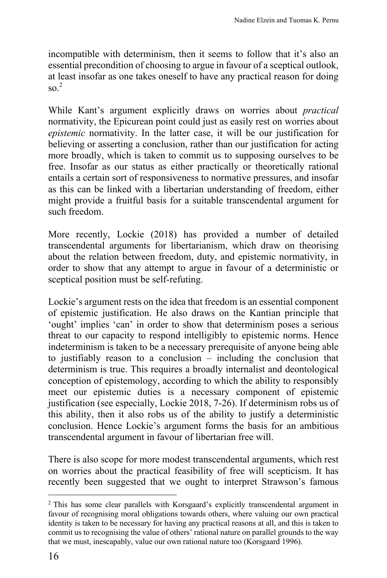incompatible with determinism, then it seems to follow that it's also an essential precondition of choosing to argue in favour of a sceptical outlook, at least insofar as one takes oneself to have any practical reason for doing  $\frac{2}{3}$ 

While Kant's argument explicitly draws on worries about *practical* normativity, the Epicurean point could just as easily rest on worries about *epistemic* normativity. In the latter case, it will be our justification for believing or asserting a conclusion, rather than our justification for acting more broadly, which is taken to commit us to supposing ourselves to be free. Insofar as our status as either practically or theoretically rational entails a certain sort of responsiveness to normative pressures, and insofar as this can be linked with a libertarian understanding of freedom, either might provide a fruitful basis for a suitable transcendental argument for such freedom.

More recently, Lockie (2018) has provided a number of detailed transcendental arguments for libertarianism, which draw on theorising about the relation between freedom, duty, and epistemic normativity, in order to show that any attempt to argue in favour of a deterministic or sceptical position must be self-refuting.

Lockie's argument rests on the idea that freedom is an essential component of epistemic justification. He also draws on the Kantian principle that 'ought' implies 'can' in order to show that determinism poses a serious threat to our capacity to respond intelligibly to epistemic norms. Hence indeterminism is taken to be a necessary prerequisite of anyone being able to justifiably reason to a conclusion – including the conclusion that determinism is true. This requires a broadly internalist and deontological conception of epistemology, according to which the ability to responsibly meet our epistemic duties is a necessary component of epistemic justification (see especially, Lockie 2018, 7-26). If determinism robs us of this ability, then it also robs us of the ability to justify a deterministic conclusion. Hence Lockie's argument forms the basis for an ambitious transcendental argument in favour of libertarian free will.

There is also scope for more modest transcendental arguments, which rest on worries about the practical feasibility of free will scepticism. It has recently been suggested that we ought to interpret Strawson's famous

<sup>2</sup> This has some clear parallels with Korsgaard's explicitly transcendental argument in favour of recognising moral obligations towards others, where valuing our own practical identity is taken to be necessary for having any practical reasons at all, and this is taken to commit us to recognising the value of others' rational nature on parallel grounds to the way that we must, inescapably, value our own rational nature too (Korsgaard 1996).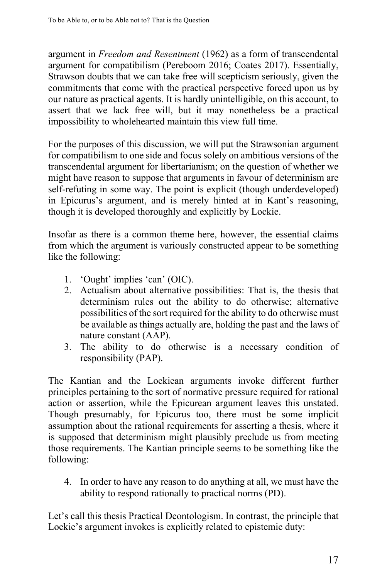argument in *Freedom and Resentment* (1962) as a form of transcendental argument for compatibilism (Pereboom 2016; Coates 2017). Essentially, Strawson doubts that we can take free will scepticism seriously, given the commitments that come with the practical perspective forced upon us by our nature as practical agents. It is hardly unintelligible, on this account, to assert that we lack free will, but it may nonetheless be a practical impossibility to wholehearted maintain this view full time.

For the purposes of this discussion, we will put the Strawsonian argument for compatibilism to one side and focus solely on ambitious versions of the transcendental argument for libertarianism; on the question of whether we might have reason to suppose that arguments in favour of determinism are self-refuting in some way. The point is explicit (though underdeveloped) in Epicurus's argument, and is merely hinted at in Kant's reasoning, though it is developed thoroughly and explicitly by Lockie.

Insofar as there is a common theme here, however, the essential claims from which the argument is variously constructed appear to be something like the following:

- 1. 'Ought' implies 'can' (OIC).
- 2. Actualism about alternative possibilities: That is, the thesis that determinism rules out the ability to do otherwise; alternative possibilities of the sort required for the ability to do otherwise must be available as things actually are, holding the past and the laws of nature constant (AAP).
- 3. The ability to do otherwise is a necessary condition of responsibility (PAP).

The Kantian and the Lockiean arguments invoke different further principles pertaining to the sort of normative pressure required for rational action or assertion, while the Epicurean argument leaves this unstated. Though presumably, for Epicurus too, there must be some implicit assumption about the rational requirements for asserting a thesis, where it is supposed that determinism might plausibly preclude us from meeting those requirements. The Kantian principle seems to be something like the following:

4. In order to have any reason to do anything at all, we must have the ability to respond rationally to practical norms (PD).

Let's call this thesis Practical Deontologism. In contrast, the principle that Lockie's argument invokes is explicitly related to epistemic duty: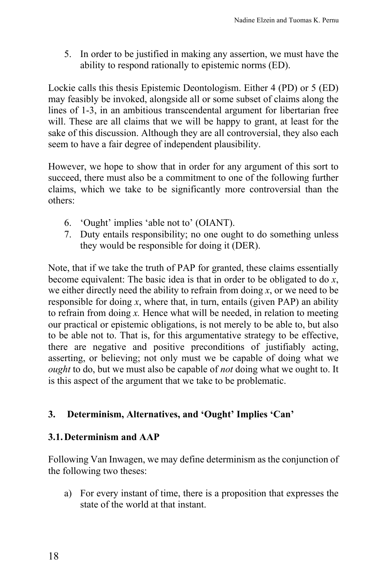5. In order to be justified in making any assertion, we must have the ability to respond rationally to epistemic norms (ED).

Lockie calls this thesis Epistemic Deontologism. Either 4 (PD) or 5 (ED) may feasibly be invoked, alongside all or some subset of claims along the lines of 1-3, in an ambitious transcendental argument for libertarian free will. These are all claims that we will be happy to grant, at least for the sake of this discussion. Although they are all controversial, they also each seem to have a fair degree of independent plausibility.

However, we hope to show that in order for any argument of this sort to succeed, there must also be a commitment to one of the following further claims, which we take to be significantly more controversial than the others:

- 6. 'Ought' implies 'able not to' (OIANT).
- 7. Duty entails responsibility; no one ought to do something unless they would be responsible for doing it (DER).

Note, that if we take the truth of PAP for granted, these claims essentially become equivalent: The basic idea is that in order to be obligated to do *x*, we either directly need the ability to refrain from doing *x*, or we need to be responsible for doing  $x$ , where that, in turn, entails (given PAP) an ability to refrain from doing *x.* Hence what will be needed, in relation to meeting our practical or epistemic obligations, is not merely to be able to, but also to be able not to. That is, for this argumentative strategy to be effective, there are negative and positive preconditions of justifiably acting, asserting, or believing; not only must we be capable of doing what we *ought* to do, but we must also be capable of *not* doing what we ought to. It is this aspect of the argument that we take to be problematic.

## **3. Determinism, Alternatives, and 'Ought' Implies 'Can'**

### **3.1.Determinism and AAP**

Following Van Inwagen, we may define determinism as the conjunction of the following two theses:

a) For every instant of time, there is a proposition that expresses the state of the world at that instant.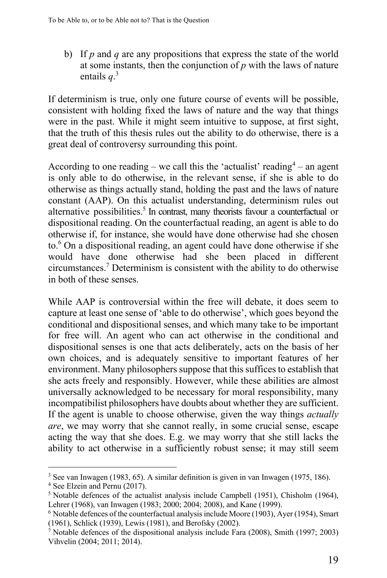b) If *p* and *q* are any propositions that express the state of the world at some instants, then the conjunction of *p* with the laws of nature entails *q*. 3

If determinism is true, only one future course of events will be possible, consistent with holding fixed the laws of nature and the way that things were in the past. While it might seem intuitive to suppose, at first sight, that the truth of this thesis rules out the ability to do otherwise, there is a great deal of controversy surrounding this point.

According to one reading – we call this the 'actualist' reading<sup>4</sup> – an agent is only able to do otherwise, in the relevant sense, if she is able to do otherwise as things actually stand, holding the past and the laws of nature constant (AAP). On this actualist understanding, determinism rules out alternative possibilities. <sup>5</sup> In contrast, many theorists favour a counterfactual or dispositional reading. On the counterfactual reading, an agent is able to do otherwise if, for instance, she would have done otherwise had she chosen to. $6$  On a dispositional reading, an agent could have done otherwise if she would have done otherwise had she been placed in different circumstances.7 Determinism is consistent with the ability to do otherwise in both of these senses.

While AAP is controversial within the free will debate, it does seem to capture at least one sense of 'able to do otherwise', which goes beyond the conditional and dispositional senses, and which many take to be important for free will. An agent who can act otherwise in the conditional and dispositional senses is one that acts deliberately, acts on the basis of her own choices, and is adequately sensitive to important features of her environment. Many philosophers suppose that this suffices to establish that she acts freely and responsibly. However, while these abilities are almost universally acknowledged to be necessary for moral responsibility, many incompatibilist philosophers have doubts about whether they are sufficient. If the agent is unable to choose otherwise, given the way things *actually are*, we may worry that she cannot really, in some crucial sense, escape acting the way that she does. E.g. we may worry that she still lacks the ability to act otherwise in a sufficiently robust sense; it may still seem

<sup>3</sup> See van Inwagen (1983, 65). A similar definition is given in van Inwagen (1975, 186).

<sup>4</sup> See Elzein and Pernu (2017).

 $5$  Notable defences of the actualist analysis include Campbell (1951), Chisholm (1964), Lehrer (1968), van Inwagen (1983; 2000; 2004; 2008), and Kane (1999).

<sup>6</sup> Notable defences of the counterfactual analysisinclude Moore (1903), Ayer (1954), Smart (1961), Schlick (1939), Lewis (1981), and Berofsky (2002).

<sup>7</sup> Notable defences of the dispositional analysis include Fara (2008), Smith (1997; 2003) Vihvelin (2004; 2011; 2014).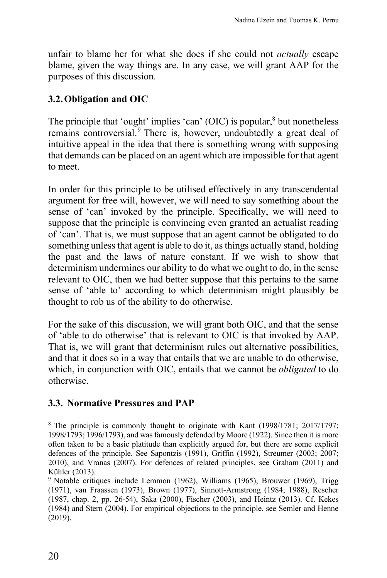unfair to blame her for what she does if she could not *actually* escape blame, given the way things are. In any case, we will grant AAP for the purposes of this discussion.

### **3.2.Obligation and OIC**

The principle that 'ought' implies 'can'  $(OIC)$  is popular, $8$  but nonetheless remains controversial.<sup>9</sup> There is, however, undoubtedly a great deal of intuitive appeal in the idea that there is something wrong with supposing that demands can be placed on an agent which are impossible for that agent to meet.

In order for this principle to be utilised effectively in any transcendental argument for free will, however, we will need to say something about the sense of 'can' invoked by the principle. Specifically, we will need to suppose that the principle is convincing even granted an actualist reading of 'can'. That is, we must suppose that an agent cannot be obligated to do something unless that agent is able to do it, as things actually stand, holding the past and the laws of nature constant. If we wish to show that determinism undermines our ability to do what we ought to do, in the sense relevant to OIC, then we had better suppose that this pertains to the same sense of 'able to' according to which determinism might plausibly be thought to rob us of the ability to do otherwise.

For the sake of this discussion, we will grant both OIC, and that the sense of 'able to do otherwise' that is relevant to OIC is that invoked by AAP. That is, we will grant that determinism rules out alternative possibilities, and that it does so in a way that entails that we are unable to do otherwise, which, in conjunction with OIC, entails that we cannot be *obligated* to do otherwise.

### **3.3. Normative Pressures and PAP**

<sup>8</sup> The principle is commonly thought to originate with Kant (1998/1781; 2017/1797; 1998/1793; 1996/1793), and wasfamously defended by Moore (1922). Since then it is more often taken to be a basic platitude than explicitly argued for, but there are some explicit defences of the principle. See Sapontzis (1991), Griffin (1992), Streumer (2003; 2007; 2010), and Vranas (2007). For defences of related principles, see Graham (2011) and Kühler (2013).

<sup>&</sup>lt;sup>9</sup> Notable critiques include Lemmon (1962), Williams (1965), Brouwer (1969), Trigg (1971), van Fraassen (1973), Brown (1977), Sinnott-Armstrong (1984; 1988), Rescher (1987, chap. 2, pp. 26-54), Saka (2000), Fischer (2003), and Heintz (2013). Cf. Kekes (1984) and Stern (2004). For empirical objections to the principle, see Semler and Henne (2019).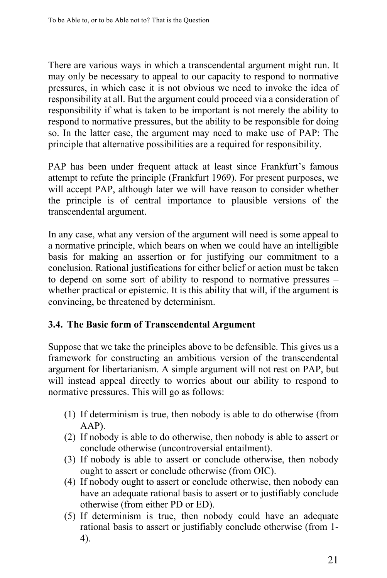There are various ways in which a transcendental argument might run. It may only be necessary to appeal to our capacity to respond to normative pressures, in which case it is not obvious we need to invoke the idea of responsibility at all. But the argument could proceed via a consideration of responsibility if what is taken to be important is not merely the ability to respond to normative pressures, but the ability to be responsible for doing so. In the latter case, the argument may need to make use of PAP: The principle that alternative possibilities are a required for responsibility.

PAP has been under frequent attack at least since Frankfurt's famous attempt to refute the principle (Frankfurt 1969). For present purposes, we will accept PAP, although later we will have reason to consider whether the principle is of central importance to plausible versions of the transcendental argument.

In any case, what any version of the argument will need is some appeal to a normative principle, which bears on when we could have an intelligible basis for making an assertion or for justifying our commitment to a conclusion. Rational justifications for either belief or action must be taken to depend on some sort of ability to respond to normative pressures – whether practical or epistemic. It is this ability that will, if the argument is convincing, be threatened by determinism.

## **3.4. The Basic form of Transcendental Argument**

Suppose that we take the principles above to be defensible. This gives us a framework for constructing an ambitious version of the transcendental argument for libertarianism. A simple argument will not rest on PAP, but will instead appeal directly to worries about our ability to respond to normative pressures. This will go as follows:

- (1) If determinism is true, then nobody is able to do otherwise (from AAP).
- (2) If nobody is able to do otherwise, then nobody is able to assert or conclude otherwise (uncontroversial entailment).
- (3) If nobody is able to assert or conclude otherwise, then nobody ought to assert or conclude otherwise (from OIC).
- (4) If nobody ought to assert or conclude otherwise, then nobody can have an adequate rational basis to assert or to justifiably conclude otherwise (from either PD or ED).
- (5) If determinism is true, then nobody could have an adequate rational basis to assert or justifiably conclude otherwise (from 1- 4).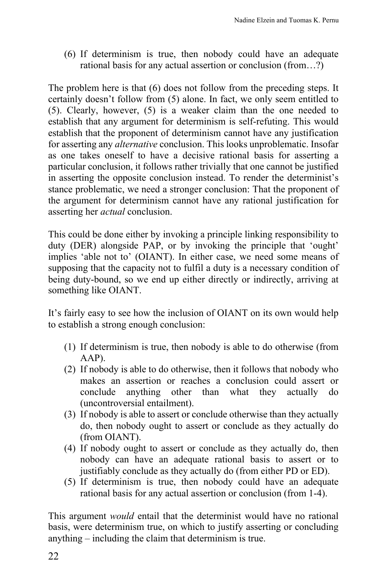(6) If determinism is true, then nobody could have an adequate rational basis for any actual assertion or conclusion (from…?)

The problem here is that (6) does not follow from the preceding steps. It certainly doesn't follow from (5) alone. In fact, we only seem entitled to (5). Clearly, however, (5) is a weaker claim than the one needed to establish that any argument for determinism is self-refuting. This would establish that the proponent of determinism cannot have any justification for asserting any *alternative* conclusion. This looks unproblematic. Insofar as one takes oneself to have a decisive rational basis for asserting a particular conclusion, it follows rather trivially that one cannot be justified in asserting the opposite conclusion instead. To render the determinist's stance problematic, we need a stronger conclusion: That the proponent of the argument for determinism cannot have any rational justification for asserting her *actual* conclusion.

This could be done either by invoking a principle linking responsibility to duty (DER) alongside PAP, or by invoking the principle that 'ought' implies 'able not to' (OIANT). In either case, we need some means of supposing that the capacity not to fulfil a duty is a necessary condition of being duty-bound, so we end up either directly or indirectly, arriving at something like OIANT.

It's fairly easy to see how the inclusion of OIANT on its own would help to establish a strong enough conclusion:

- (1) If determinism is true, then nobody is able to do otherwise (from AAP).
- (2) If nobody is able to do otherwise, then it follows that nobody who makes an assertion or reaches a conclusion could assert or conclude anything other than what they actually do (uncontroversial entailment).
- (3) If nobody is able to assert or conclude otherwise than they actually do, then nobody ought to assert or conclude as they actually do (from OIANT).
- (4) If nobody ought to assert or conclude as they actually do, then nobody can have an adequate rational basis to assert or to justifiably conclude as they actually do (from either PD or ED).
- (5) If determinism is true, then nobody could have an adequate rational basis for any actual assertion or conclusion (from 1-4).

This argument *would* entail that the determinist would have no rational basis, were determinism true, on which to justify asserting or concluding anything – including the claim that determinism is true.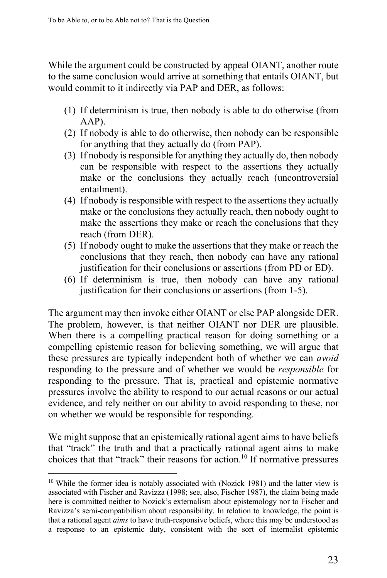While the argument could be constructed by appeal OIANT, another route to the same conclusion would arrive at something that entails OIANT, but would commit to it indirectly via PAP and DER, as follows:

- (1) If determinism is true, then nobody is able to do otherwise (from AAP).
- (2) If nobody is able to do otherwise, then nobody can be responsible for anything that they actually do (from PAP).
- (3) If nobody is responsible for anything they actually do, then nobody can be responsible with respect to the assertions they actually make or the conclusions they actually reach (uncontroversial entailment).
- (4) If nobody is responsible with respect to the assertions they actually make or the conclusions they actually reach, then nobody ought to make the assertions they make or reach the conclusions that they reach (from DER).
- (5) If nobody ought to make the assertions that they make or reach the conclusions that they reach, then nobody can have any rational justification for their conclusions or assertions (from PD or ED).
- (6) If determinism is true, then nobody can have any rational justification for their conclusions or assertions (from 1-5).

The argument may then invoke either OIANT or else PAP alongside DER. The problem, however, is that neither OIANT nor DER are plausible. When there is a compelling practical reason for doing something or a compelling epistemic reason for believing something, we will argue that these pressures are typically independent both of whether we can *avoid* responding to the pressure and of whether we would be *responsible* for responding to the pressure. That is, practical and epistemic normative pressures involve the ability to respond to our actual reasons or our actual evidence, and rely neither on our ability to avoid responding to these, nor on whether we would be responsible for responding.

We might suppose that an epistemically rational agent aims to have beliefs that "track" the truth and that a practically rational agent aims to make choices that that "track" their reasons for action.<sup>10</sup> If normative pressures

<sup>&</sup>lt;sup>10</sup> While the former idea is notably associated with (Nozick 1981) and the latter view is associated with Fischer and Ravizza (1998; see, also, Fischer 1987), the claim being made here is committed neither to Nozick's externalism about epistemology nor to Fischer and Ravizza's semi-compatibilism about responsibility. In relation to knowledge, the point is that a rational agent *aims* to have truth-responsive beliefs, where this may be understood as a response to an epistemic duty, consistent with the sort of internalist epistemic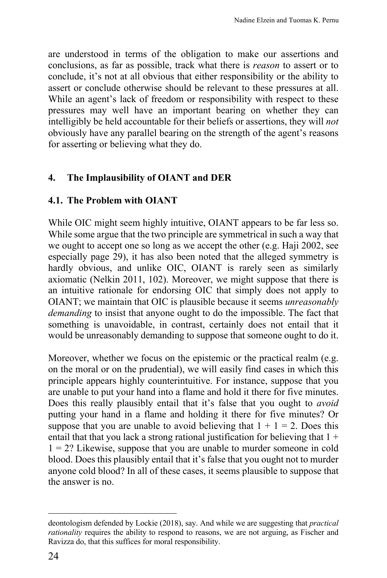are understood in terms of the obligation to make our assertions and conclusions, as far as possible, track what there is *reason* to assert or to conclude, it's not at all obvious that either responsibility or the ability to assert or conclude otherwise should be relevant to these pressures at all. While an agent's lack of freedom or responsibility with respect to these pressures may well have an important bearing on whether they can intelligibly be held accountable for their beliefs or assertions, they will *not* obviously have any parallel bearing on the strength of the agent's reasons for asserting or believing what they do.

## **4. The Implausibility of OIANT and DER**

## **4.1. The Problem with OIANT**

While OIC might seem highly intuitive, OIANT appears to be far less so. While some argue that the two principle are symmetrical in such a way that we ought to accept one so long as we accept the other (e.g. Haji 2002, see especially page 29), it has also been noted that the alleged symmetry is hardly obvious, and unlike OIC, OIANT is rarely seen as similarly axiomatic (Nelkin 2011, 102). Moreover, we might suppose that there is an intuitive rationale for endorsing OIC that simply does not apply to OIANT; we maintain that OIC is plausible because it seems *unreasonably demanding* to insist that anyone ought to do the impossible. The fact that something is unavoidable, in contrast, certainly does not entail that it would be unreasonably demanding to suppose that someone ought to do it.

Moreover, whether we focus on the epistemic or the practical realm (e.g. on the moral or on the prudential), we will easily find cases in which this principle appears highly counterintuitive. For instance, suppose that you are unable to put your hand into a flame and hold it there for five minutes. Does this really plausibly entail that it's false that you ought to *avoid* putting your hand in a flame and holding it there for five minutes? Or suppose that you are unable to avoid believing that  $1 + 1 = 2$ . Does this entail that that you lack a strong rational justification for believing that  $1 +$  $1 = 2$ ? Likewise, suppose that you are unable to murder someone in cold blood. Does this plausibly entail that it's false that you ought not to murder anyone cold blood? In all of these cases, it seems plausible to suppose that the answer is no.

deontologism defended by Lockie (2018), say. And while we are suggesting that *practical rationality* requires the ability to respond to reasons, we are not arguing, as Fischer and Ravizza do, that this suffices for moral responsibility.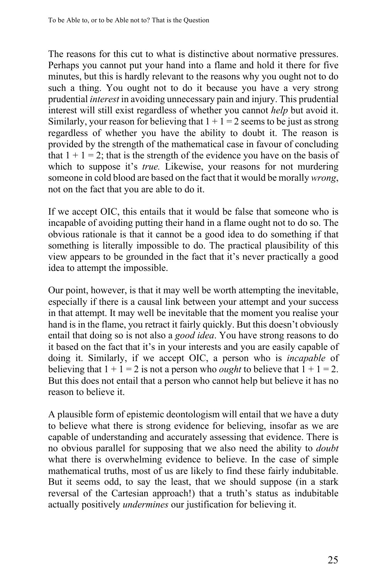The reasons for this cut to what is distinctive about normative pressures. Perhaps you cannot put your hand into a flame and hold it there for five minutes, but this is hardly relevant to the reasons why you ought not to do such a thing. You ought not to do it because you have a very strong prudential *interest* in avoiding unnecessary pain and injury. This prudential interest will still exist regardless of whether you cannot *help* but avoid it. Similarly, your reason for believing that  $1 + 1 = 2$  seems to be just as strong regardless of whether you have the ability to doubt it. The reason is provided by the strength of the mathematical case in favour of concluding that  $1 + 1 = 2$ ; that is the strength of the evidence you have on the basis of which to suppose it's *true.* Likewise, your reasons for not murdering someone in cold blood are based on the fact that it would be morally *wrong*, not on the fact that you are able to do it.

If we accept OIC, this entails that it would be false that someone who is incapable of avoiding putting their hand in a flame ought not to do so. The obvious rationale is that it cannot be a good idea to do something if that something is literally impossible to do. The practical plausibility of this view appears to be grounded in the fact that it's never practically a good idea to attempt the impossible.

Our point, however, is that it may well be worth attempting the inevitable, especially if there is a causal link between your attempt and your success in that attempt. It may well be inevitable that the moment you realise your hand is in the flame, you retract it fairly quickly. But this doesn't obviously entail that doing so is not also a *good idea*. You have strong reasons to do it based on the fact that it's in your interests and you are easily capable of doing it. Similarly, if we accept OIC, a person who is *incapable* of believing that  $1 + 1 = 2$  is not a person who *ought* to believe that  $1 + 1 = 2$ . But this does not entail that a person who cannot help but believe it has no reason to believe it.

A plausible form of epistemic deontologism will entail that we have a duty to believe what there is strong evidence for believing, insofar as we are capable of understanding and accurately assessing that evidence. There is no obvious parallel for supposing that we also need the ability to *doubt* what there is overwhelming evidence to believe. In the case of simple mathematical truths, most of us are likely to find these fairly indubitable. But it seems odd, to say the least, that we should suppose (in a stark reversal of the Cartesian approach!) that a truth's status as indubitable actually positively *undermines* our justification for believing it.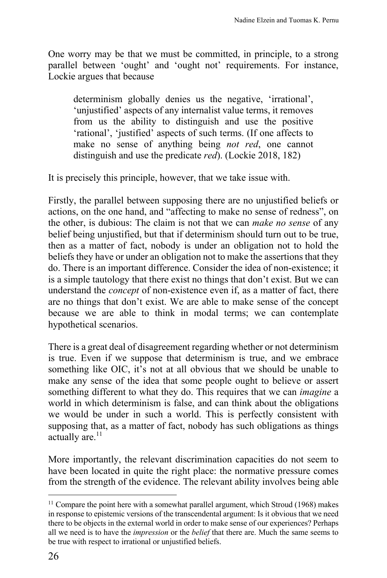One worry may be that we must be committed, in principle, to a strong parallel between 'ought' and 'ought not' requirements. For instance, Lockie argues that because

determinism globally denies us the negative, 'irrational', 'unjustified' aspects of any internalist value terms, it removes from us the ability to distinguish and use the positive 'rational', 'justified' aspects of such terms. (If one affects to make no sense of anything being *not red*, one cannot distinguish and use the predicate *red*). (Lockie 2018, 182)

It is precisely this principle, however, that we take issue with.

Firstly, the parallel between supposing there are no unjustified beliefs or actions, on the one hand, and "affecting to make no sense of redness", on the other, is dubious: The claim is not that we can *make no sense* of any belief being unjustified, but that if determinism should turn out to be true, then as a matter of fact, nobody is under an obligation not to hold the beliefs they have or under an obligation not to make the assertions that they do. There is an important difference. Consider the idea of non-existence; it is a simple tautology that there exist no things that don't exist. But we can understand the *concept* of non-existence even if, as a matter of fact, there are no things that don't exist. We are able to make sense of the concept because we are able to think in modal terms; we can contemplate hypothetical scenarios.

There is a great deal of disagreement regarding whether or not determinism is true. Even if we suppose that determinism is true, and we embrace something like OIC, it's not at all obvious that we should be unable to make any sense of the idea that some people ought to believe or assert something different to what they do. This requires that we can *imagine* a world in which determinism is false, and can think about the obligations we would be under in such a world. This is perfectly consistent with supposing that, as a matter of fact, nobody has such obligations as things actually are.<sup>11</sup>

More importantly, the relevant discrimination capacities do not seem to have been located in quite the right place: the normative pressure comes from the strength of the evidence. The relevant ability involves being able

<sup>&</sup>lt;sup>11</sup> Compare the point here with a somewhat parallel argument, which Stroud (1968) makes in response to epistemic versions of the transcendental argument: Is it obvious that we need there to be objects in the external world in order to make sense of our experiences? Perhaps all we need is to have the *impression* or the *belief* that there are. Much the same seems to be true with respect to irrational or unjustified beliefs.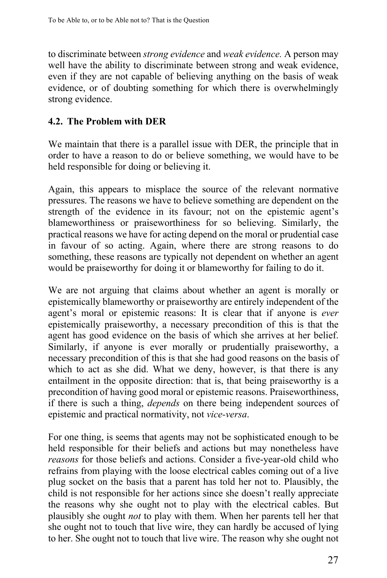to discriminate between *strong evidence* and *weak evidence.* A person may well have the ability to discriminate between strong and weak evidence, even if they are not capable of believing anything on the basis of weak evidence, or of doubting something for which there is overwhelmingly strong evidence.

### **4.2. The Problem with DER**

We maintain that there is a parallel issue with DER, the principle that in order to have a reason to do or believe something, we would have to be held responsible for doing or believing it.

Again, this appears to misplace the source of the relevant normative pressures. The reasons we have to believe something are dependent on the strength of the evidence in its favour; not on the epistemic agent's blameworthiness or praiseworthiness for so believing. Similarly, the practical reasons we have for acting depend on the moral or prudential case in favour of so acting. Again, where there are strong reasons to do something, these reasons are typically not dependent on whether an agent would be praiseworthy for doing it or blameworthy for failing to do it.

We are not arguing that claims about whether an agent is morally or epistemically blameworthy or praiseworthy are entirely independent of the agent's moral or epistemic reasons: It is clear that if anyone is *ever* epistemically praiseworthy, a necessary precondition of this is that the agent has good evidence on the basis of which she arrives at her belief. Similarly, if anyone is ever morally or prudentially praiseworthy, a necessary precondition of this is that she had good reasons on the basis of which to act as she did. What we deny, however, is that there is any entailment in the opposite direction: that is, that being praiseworthy is a precondition of having good moral or epistemic reasons. Praiseworthiness, if there is such a thing, *depends* on there being independent sources of epistemic and practical normativity, not *vice-versa*.

For one thing, is seems that agents may not be sophisticated enough to be held responsible for their beliefs and actions but may nonetheless have *reasons* for those beliefs and actions. Consider a five-year-old child who refrains from playing with the loose electrical cables coming out of a live plug socket on the basis that a parent has told her not to. Plausibly, the child is not responsible for her actions since she doesn't really appreciate the reasons why she ought not to play with the electrical cables. But plausibly she ought *not* to play with them. When her parents tell her that she ought not to touch that live wire, they can hardly be accused of lying to her. She ought not to touch that live wire. The reason why she ought not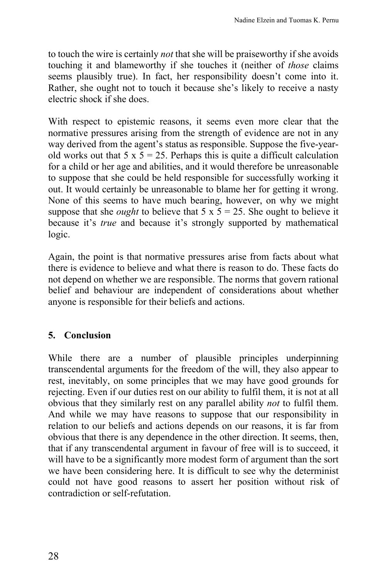to touch the wire is certainly *not* that she will be praiseworthy if she avoids touching it and blameworthy if she touches it (neither of *those* claims seems plausibly true). In fact, her responsibility doesn't come into it. Rather, she ought not to touch it because she's likely to receive a nasty electric shock if she does.

With respect to epistemic reasons, it seems even more clear that the normative pressures arising from the strength of evidence are not in any way derived from the agent's status as responsible. Suppose the five-yearold works out that  $5 \times 5 = 25$ . Perhaps this is quite a difficult calculation for a child or her age and abilities, and it would therefore be unreasonable to suppose that she could be held responsible for successfully working it out. It would certainly be unreasonable to blame her for getting it wrong. None of this seems to have much bearing, however, on why we might suppose that she *ought* to believe that  $5 \times 5 = 25$ . She ought to believe it because it's *true* and because it's strongly supported by mathematical logic.

Again, the point is that normative pressures arise from facts about what there is evidence to believe and what there is reason to do. These facts do not depend on whether we are responsible. The norms that govern rational belief and behaviour are independent of considerations about whether anyone is responsible for their beliefs and actions.

## **5. Conclusion**

While there are a number of plausible principles underpinning transcendental arguments for the freedom of the will, they also appear to rest, inevitably, on some principles that we may have good grounds for rejecting. Even if our duties rest on our ability to fulfil them, it is not at all obvious that they similarly rest on any parallel ability *not* to fulfil them. And while we may have reasons to suppose that our responsibility in relation to our beliefs and actions depends on our reasons, it is far from obvious that there is any dependence in the other direction. It seems, then, that if any transcendental argument in favour of free will is to succeed, it will have to be a significantly more modest form of argument than the sort we have been considering here. It is difficult to see why the determinist could not have good reasons to assert her position without risk of contradiction or self-refutation.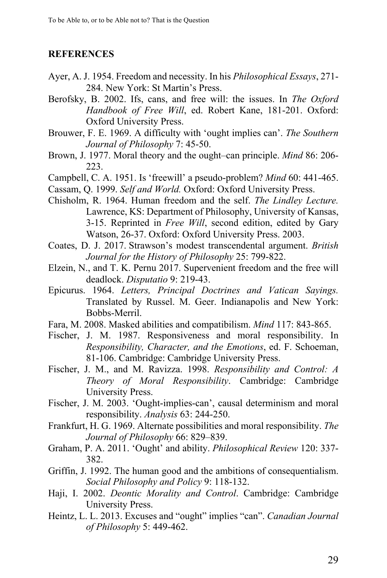#### **REFERENCES**

- Ayer, A. J. 1954. Freedom and necessity. In his *Philosophical Essays*, 271- 284. New York: St Martin's Press.
- Berofsky, B. 2002. Ifs, cans, and free will: the issues. In *The Oxford Handbook of Free Will*, ed. Robert Kane, 181-201. Oxford: Oxford University Press.
- Brouwer, F. E. 1969. A difficulty with 'ought implies can'. *The Southern Journal of Philosophy* 7: 45-50.
- Brown, J. 1977. Moral theory and the ought–can principle. *Mind* 86: 206- 223.
- Campbell, C. A. 1951. Is 'freewill' a pseudo-problem? *Mind* 60: 441-465.
- Cassam, Q. 1999. *Self and World.* Oxford: Oxford University Press.
- Chisholm, R. 1964. Human freedom and the self. *The Lindley Lecture.* Lawrence, KS: Department of Philosophy, University of Kansas, 3-15. Reprinted in *Free Will*, second edition, edited by Gary Watson, 26-37. Oxford: Oxford University Press. 2003.
- Coates, D. J. 2017. Strawson's modest transcendental argument. *British Journal for the History of Philosophy* 25: 799-822.
- Elzein, N., and T. K. Pernu 2017. Supervenient freedom and the free will deadlock. *Disputatio* 9: 219-43.
- Epicurus. 1964. *Letters, Principal Doctrines and Vatican Sayings.* Translated by Russel. M. Geer. Indianapolis and New York: Bobbs-Merril.
- Fara, M. 2008. Masked abilities and compatibilism. *Mind* 117: 843-865.
- Fischer, J. M. 1987. Responsiveness and moral responsibility. In *Responsibility, Character, and the Emotions*, ed. F. Schoeman, 81-106. Cambridge: Cambridge University Press.
- Fischer, J. M., and M. Ravizza. 1998. *Responsibility and Control: A Theory of Moral Responsibility*. Cambridge: Cambridge University Press.
- Fischer, J. M. 2003. 'Ought-implies-can', causal determinism and moral responsibility. *Analysis* 63: 244-250.
- Frankfurt, H. G. 1969. Alternate possibilities and moral responsibility. *The Journal of Philosophy* 66: 829–839.
- Graham, P. A. 2011. 'Ought' and ability. *Philosophical Review* 120: 337- 382.
- Griffin, J. 1992. The human good and the ambitions of consequentialism. *Social Philosophy and Policy* 9: 118-132.
- Haji, I. 2002. *Deontic Morality and Control*. Cambridge: Cambridge University Press.
- Heintz, L. L. 2013. Excuses and "ought" implies "can". *Canadian Journal of Philosophy* 5: 449-462.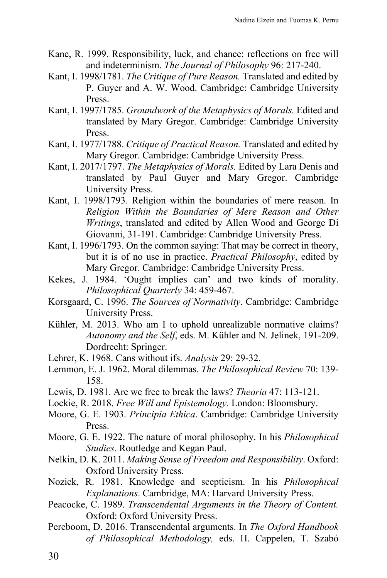- Kane, R. 1999. Responsibility, luck, and chance: reflections on free will and indeterminism. *The Journal of Philosophy* 96: 217-240.
- Kant, I. 1998/1781. *The Critique of Pure Reason.* Translated and edited by P. Guyer and A. W. Wood. Cambridge: Cambridge University Press.
- Kant, I. 1997/1785. *Groundwork of the Metaphysics of Morals.* Edited and translated by Mary Gregor. Cambridge: Cambridge University Press.
- Kant, I. 1977/1788. *Critique of Practical Reason.* Translated and edited by Mary Gregor. Cambridge: Cambridge University Press.
- Kant, I. 2017/1797. *The Metaphysics of Morals.* Edited by Lara Denis and translated by Paul Guyer and Mary Gregor. Cambridge University Press.
- Kant, I. 1998/1793. Religion within the boundaries of mere reason. In *Religion Within the Boundaries of Mere Reason and Other Writings*, translated and edited by Allen Wood and George Di Giovanni, 31-191. Cambridge: Cambridge University Press.
- Kant, I. 1996/1793. On the common saying: That may be correct in theory, but it is of no use in practice. *Practical Philosophy*, edited by Mary Gregor. Cambridge: Cambridge University Press.
- Kekes, J. 1984. 'Ought implies can' and two kinds of morality. *Philosophical Quarterly* 34: 459-467.
- Korsgaard, C. 1996. *The Sources of Normativity*. Cambridge: Cambridge University Press.
- Kühler, M. 2013. Who am I to uphold unrealizable normative claims? *Autonomy and the Self*, eds. M. Kühler and N. Jelinek, 191-209. Dordrecht: Springer.
- Lehrer, K. 1968. Cans without ifs. *Analysis* 29: 29-32.
- Lemmon, E. J. 1962. Moral dilemmas. *The Philosophical Review* 70: 139- 158.
- Lewis, D. 1981. Are we free to break the laws? *Theoria* 47: 113-121.
- Lockie, R. 2018. *Free Will and Epistemology.* London: Bloomsbury.
- Moore, G. E. 1903. *Principia Ethica*. Cambridge: Cambridge University Press.
- Moore, G. E. 1922. The nature of moral philosophy. In his *Philosophical Studies*. Routledge and Kegan Paul.
- Nelkin, D. K. 2011. *Making Sense of Freedom and Responsibility*. Oxford: Oxford University Press.
- Nozick, R. 1981. Knowledge and scepticism. In his *Philosophical Explanations*. Cambridge, MA: Harvard University Press.
- Peacocke, C. 1989. *Transcendental Arguments in the Theory of Content.* Oxford: Oxford University Press.
- Pereboom, D. 2016. Transcendental arguments. In *The Oxford Handbook of Philosophical Methodology,* eds. H. Cappelen, T. Szabó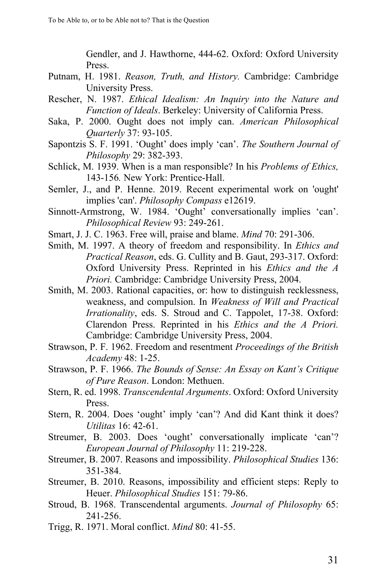Gendler, and J. Hawthorne, 444-62. Oxford: Oxford University Press.

- Putnam, H. 1981. *Reason, Truth, and History.* Cambridge: Cambridge University Press.
- Rescher, N. 1987. *Ethical Idealism: An Inquiry into the Nature and Function of Ideals*. Berkeley: University of California Press.
- Saka, P. 2000. Ought does not imply can. *American Philosophical Quarterly* 37: 93-105.
- Sapontzis S. F. 1991. 'Ought' does imply 'can'. *The Southern Journal of Philosophy* 29: 382-393.
- Schlick, M. 1939. When is a man responsible? In his *Problems of Ethics,* 143-156*.* New York: Prentice-Hall.
- Semler, J., and P. Henne. 2019. Recent experimental work on 'ought' implies 'can'. *Philosophy Compass* e12619.
- Sinnott-Armstrong, W. 1984. 'Ought' conversationally implies 'can'. *Philosophical Review* 93: 249-261.
- Smart, J. J. C. 1963. Free will, praise and blame. *Mind* 70: 291-306.
- Smith, M. 1997. A theory of freedom and responsibility. In *Ethics and Practical Reason*, eds. G. Cullity and B. Gaut, 293-317. Oxford: Oxford University Press. Reprinted in his *Ethics and the A Priori.* Cambridge: Cambridge University Press, 2004.
- Smith, M. 2003. Rational capacities, or: how to distinguish recklessness, weakness, and compulsion. In *Weakness of Will and Practical Irrationality*, eds. S. Stroud and C. Tappolet, 17-38. Oxford: Clarendon Press. Reprinted in his *Ethics and the A Priori.* Cambridge: Cambridge University Press, 2004.
- Strawson, P. F. 1962. Freedom and resentment *Proceedings of the British Academy* 48: 1-25.
- Strawson, P. F. 1966. *The Bounds of Sense: An Essay on Kant's Critique of Pure Reason*. London: Methuen.
- Stern, R. ed. 1998. *Transcendental Arguments*. Oxford: Oxford University Press.
- Stern, R. 2004. Does 'ought' imply 'can'? And did Kant think it does? *Utilitas* 16: 42-61.
- Streumer, B. 2003. Does 'ought' conversationally implicate 'can'? *European Journal of Philosophy* 11: 219-228.
- Streumer, B. 2007. Reasons and impossibility. *Philosophical Studies* 136: 351-384.
- Streumer, B. 2010. Reasons, impossibility and efficient steps: Reply to Heuer. *Philosophical Studies* 151: 79-86.
- Stroud, B. 1968. Transcendental arguments. *Journal of Philosophy* 65: 241-256.
- Trigg, R. 1971. Moral conflict. *Mind* 80: 41-55.